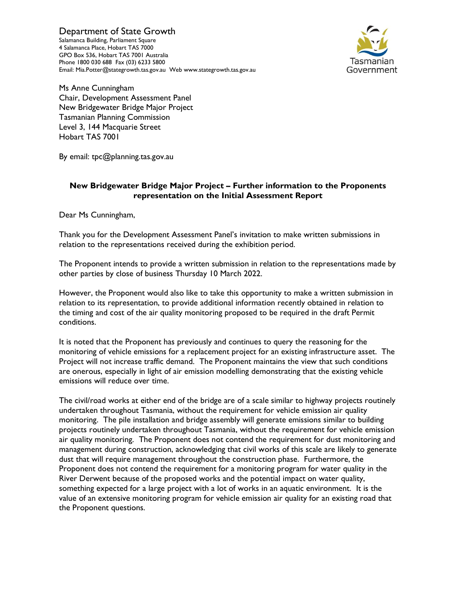Department of State Growth Salamanca Building, Parliament Square 4 Salamanca Place, Hobart TAS 7000 GPO Box 536, Hobart TAS 7001 Australia Phone 1800 030 688 Fax (03) 6233 5800 Email: Mia.Potter@stategrowth.tas.gov.au Web www.stategrowth.tas.gov.au



Ms Anne Cunningham Chair, Development Assessment Panel New Bridgewater Bridge Major Project Tasmanian Planning Commission Level 3, 144 Macquarie Street Hobart TAS 7001

By email: tpc@planning.tas.gov.au

## New Bridgewater Bridge Major Project – Further information to the Proponents representation on the Initial Assessment Report

Dear Ms Cunningham,

Thank you for the Development Assessment Panel's invitation to make written submissions in relation to the representations received during the exhibition period.

The Proponent intends to provide a written submission in relation to the representations made by other parties by close of business Thursday 10 March 2022.

However, the Proponent would also like to take this opportunity to make a written submission in relation to its representation, to provide additional information recently obtained in relation to the timing and cost of the air quality monitoring proposed to be required in the draft Permit conditions.

It is noted that the Proponent has previously and continues to query the reasoning for the monitoring of vehicle emissions for a replacement project for an existing infrastructure asset. The Project will not increase traffic demand. The Proponent maintains the view that such conditions are onerous, especially in light of air emission modelling demonstrating that the existing vehicle emissions will reduce over time.

The civil/road works at either end of the bridge are of a scale similar to highway projects routinely undertaken throughout Tasmania, without the requirement for vehicle emission air quality monitoring. The pile installation and bridge assembly will generate emissions similar to building projects routinely undertaken throughout Tasmania, without the requirement for vehicle emission air quality monitoring. The Proponent does not contend the requirement for dust monitoring and management during construction, acknowledging that civil works of this scale are likely to generate dust that will require management throughout the construction phase. Furthermore, the Proponent does not contend the requirement for a monitoring program for water quality in the River Derwent because of the proposed works and the potential impact on water quality, something expected for a large project with a lot of works in an aquatic environment. It is the value of an extensive monitoring program for vehicle emission air quality for an existing road that the Proponent questions.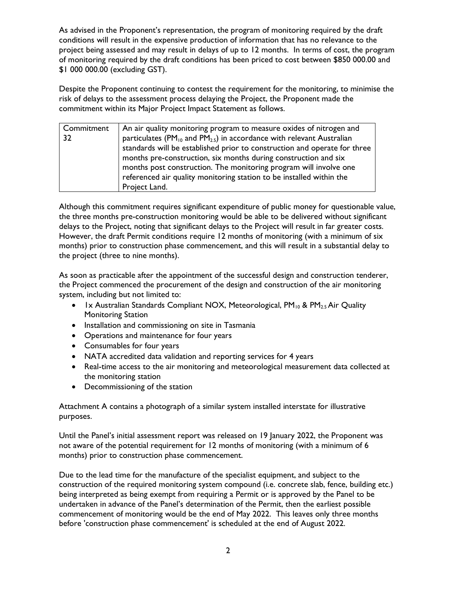As advised in the Proponent's representation, the program of monitoring required by the draft conditions will result in the expensive production of information that has no relevance to the project being assessed and may result in delays of up to 12 months. In terms of cost, the program of monitoring required by the draft conditions has been priced to cost between \$850 000.00 and \$1 000 000.00 (excluding GST).

Despite the Proponent continuing to contest the requirement for the monitoring, to minimise the risk of delays to the assessment process delaying the Project, the Proponent made the commitment within its Major Project Impact Statement as follows.

| Commitment | An air quality monitoring program to measure oxides of nitrogen and              |
|------------|----------------------------------------------------------------------------------|
| 32         | particulates ( $PM_{10}$ and $PM_{2.5}$ ) in accordance with relevant Australian |
|            | standards will be established prior to construction and operate for three        |
|            | months pre-construction, six months during construction and six                  |
|            | months post construction. The monitoring program will involve one                |
|            | referenced air quality monitoring station to be installed within the             |
|            | Project Land.                                                                    |

Although this commitment requires significant expenditure of public money for questionable value, the three months pre-construction monitoring would be able to be delivered without significant delays to the Project, noting that significant delays to the Project will result in far greater costs. However, the draft Permit conditions require 12 months of monitoring (with a minimum of six months) prior to construction phase commencement, and this will result in a substantial delay to the project (three to nine months).

As soon as practicable after the appointment of the successful design and construction tenderer, the Project commenced the procurement of the design and construction of the air monitoring system, including but not limited to:

- Ix Australian Standards Compliant NOX, Meteorological,  $PM_{10}$  &  $PM_{2.5}$  Air Quality Monitoring Station
- Installation and commissioning on site in Tasmania
- Operations and maintenance for four years
- Consumables for four years
- NATA accredited data validation and reporting services for 4 years
- Real-time access to the air monitoring and meteorological measurement data collected at the monitoring station
- Decommissioning of the station

Attachment A contains a photograph of a similar system installed interstate for illustrative purposes.

Until the Panel's initial assessment report was released on 19 January 2022, the Proponent was not aware of the potential requirement for 12 months of monitoring (with a minimum of 6 months) prior to construction phase commencement.

Due to the lead time for the manufacture of the specialist equipment, and subject to the construction of the required monitoring system compound (i.e. concrete slab, fence, building etc.) being interpreted as being exempt from requiring a Permit or is approved by the Panel to be undertaken in advance of the Panel's determination of the Permit, then the earliest possible commencement of monitoring would be the end of May 2022. This leaves only three months before 'construction phase commencement' is scheduled at the end of August 2022.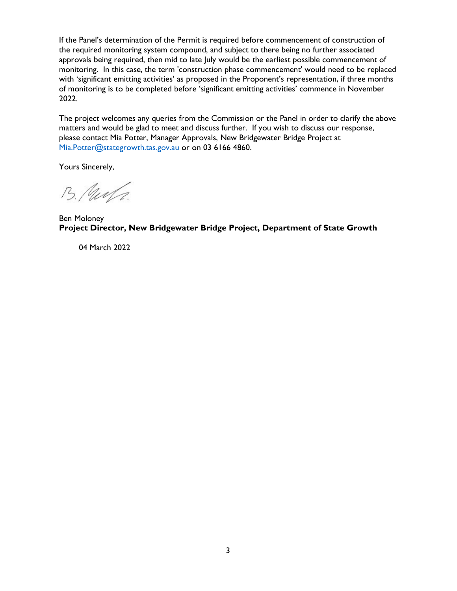If the Panel's determination of the Permit is required before commencement of construction of the required monitoring system compound, and subject to there being no further associated approvals being required, then mid to late July would be the earliest possible commencement of monitoring. In this case, the term 'construction phase commencement' would need to be replaced with 'significant emitting activities' as proposed in the Proponent's representation, if three months of monitoring is to be completed before 'significant emitting activities' commence in November 2022.

The project welcomes any queries from the Commission or the Panel in order to clarify the above matters and would be glad to meet and discuss further. If you wish to discuss our response, please contact Mia Potter, Manager Approvals, New Bridgewater Bridge Project at Mia.Potter@stategrowth.tas.gov.au or on 03 6166 4860.

Yours Sincerely,

B. Puerta.

Ben Moloney Project Director, New Bridgewater Bridge Project, Department of State Growth

04 March 2022